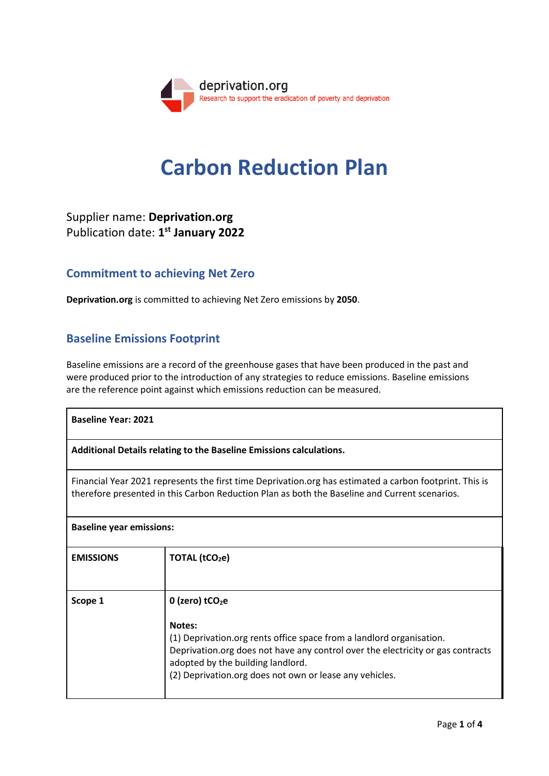

# **Carbon Reduction Plan**

# Supplier name: **Deprivation.org** Publication date: **1 st January 2022**

### **Commitment to achieving Net Zero**

**Deprivation.org** is committed to achieving Net Zero emissions by **2050**.

## **Baseline Emissions Footprint**

Baseline emissions are a record of the greenhouse gases that have been produced in the past and were produced prior to the introduction of any strategies to reduce emissions. Baseline emissions are the reference point against which emissions reduction can be measured.

| <b>Baseline Year: 2021</b>                                                                                                                                                                               |                                                                                                                                                                                                                                                                                                    |  |
|----------------------------------------------------------------------------------------------------------------------------------------------------------------------------------------------------------|----------------------------------------------------------------------------------------------------------------------------------------------------------------------------------------------------------------------------------------------------------------------------------------------------|--|
| Additional Details relating to the Baseline Emissions calculations.                                                                                                                                      |                                                                                                                                                                                                                                                                                                    |  |
| Financial Year 2021 represents the first time Deprivation.org has estimated a carbon footprint. This is<br>therefore presented in this Carbon Reduction Plan as both the Baseline and Current scenarios. |                                                                                                                                                                                                                                                                                                    |  |
| <b>Baseline year emissions:</b>                                                                                                                                                                          |                                                                                                                                                                                                                                                                                                    |  |
| <b>EMISSIONS</b>                                                                                                                                                                                         | TOTAL (tCO <sub>2</sub> e)                                                                                                                                                                                                                                                                         |  |
| Scope 1                                                                                                                                                                                                  | $0$ (zero) tCO <sub>2</sub> e<br>Notes:<br>(1) Deprivation.org rents office space from a landlord organisation.<br>Deprivation.org does not have any control over the electricity or gas contracts<br>adopted by the building landlord.<br>(2) Deprivation.org does not own or lease any vehicles. |  |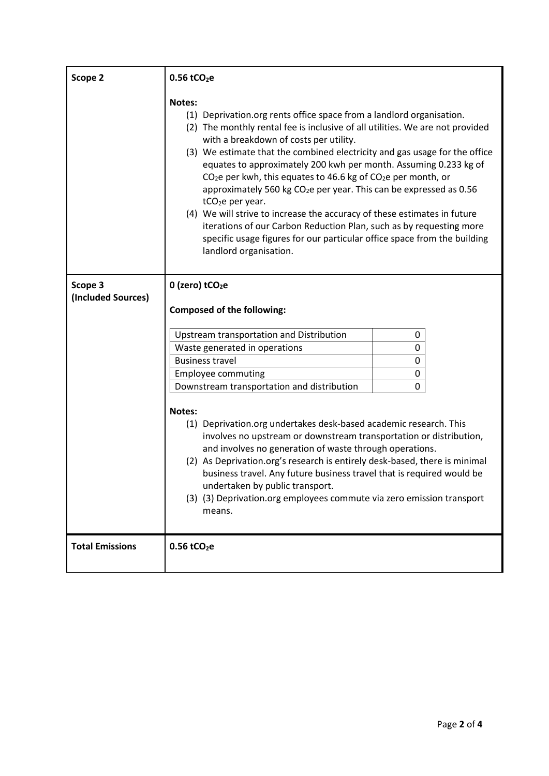| Scope 2                       | $0.56$ tCO <sub>2</sub> e                                                                                                                                                                                                                                                                                                                                                                                                                                                                                                                                                                                                                                                                                                                                                                                        |
|-------------------------------|------------------------------------------------------------------------------------------------------------------------------------------------------------------------------------------------------------------------------------------------------------------------------------------------------------------------------------------------------------------------------------------------------------------------------------------------------------------------------------------------------------------------------------------------------------------------------------------------------------------------------------------------------------------------------------------------------------------------------------------------------------------------------------------------------------------|
|                               | <b>Notes:</b><br>(1) Deprivation.org rents office space from a landlord organisation.<br>(2) The monthly rental fee is inclusive of all utilities. We are not provided<br>with a breakdown of costs per utility.<br>(3) We estimate that the combined electricity and gas usage for the office<br>equates to approximately 200 kwh per month. Assuming 0.233 kg of<br>$CO2e$ per kwh, this equates to 46.6 kg of $CO2e$ per month, or<br>approximately 560 kg CO <sub>2</sub> e per year. This can be expressed as 0.56<br>tCO <sub>2</sub> e per year.<br>(4) We will strive to increase the accuracy of these estimates in future<br>iterations of our Carbon Reduction Plan, such as by requesting more<br>specific usage figures for our particular office space from the building<br>landlord organisation. |
| Scope 3<br>(Included Sources) | 0 (zero) tCO <sub>2</sub> e<br><b>Composed of the following:</b>                                                                                                                                                                                                                                                                                                                                                                                                                                                                                                                                                                                                                                                                                                                                                 |
|                               | Upstream transportation and Distribution<br>0<br>Waste generated in operations<br>0<br><b>Business travel</b><br>0<br>0<br><b>Employee commuting</b><br>Downstream transportation and distribution<br>0<br>Notes:<br>(1) Deprivation.org undertakes desk-based academic research. This<br>involves no upstream or downstream transportation or distribution,<br>and involves no generation of waste through operations.<br>(2) As Deprivation.org's research is entirely desk-based, there is minimal<br>business travel. Any future business travel that is required would be<br>undertaken by public transport.<br>(3) (3) Deprivation.org employees commute via zero emission transport<br>means.                                                                                                             |
| <b>Total Emissions</b>        | $0.56$ tCO <sub>2</sub> e                                                                                                                                                                                                                                                                                                                                                                                                                                                                                                                                                                                                                                                                                                                                                                                        |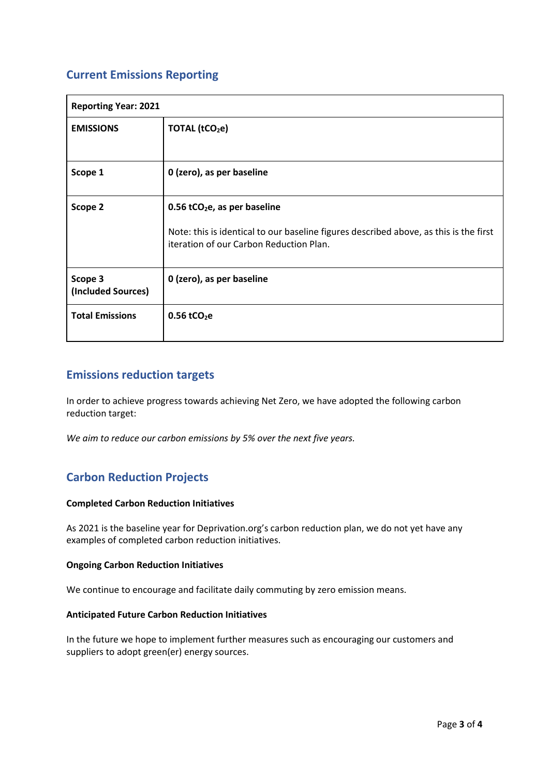## **Current Emissions Reporting**

| <b>Reporting Year: 2021</b>   |                                                                                                                                                                                |  |
|-------------------------------|--------------------------------------------------------------------------------------------------------------------------------------------------------------------------------|--|
| <b>EMISSIONS</b>              | TOTAL (tCO <sub>2</sub> e)                                                                                                                                                     |  |
| Scope 1                       | 0 (zero), as per baseline                                                                                                                                                      |  |
| Scope 2                       | $0.56$ tCO <sub>2</sub> e, as per baseline<br>Note: this is identical to our baseline figures described above, as this is the first<br>iteration of our Carbon Reduction Plan. |  |
| Scope 3<br>(Included Sources) | 0 (zero), as per baseline                                                                                                                                                      |  |
| <b>Total Emissions</b>        | $0.56$ tCO <sub>2</sub> e                                                                                                                                                      |  |

## **Emissions reduction targets**

In order to achieve progress towards achieving Net Zero, we have adopted the following carbon reduction target:

*We aim to reduce our carbon emissions by 5% over the next five years.* 

## **Carbon Reduction Projects**

#### **Completed Carbon Reduction Initiatives**

As 2021 is the baseline year for Deprivation.org's carbon reduction plan, we do not yet have any examples of completed carbon reduction initiatives.

#### **Ongoing Carbon Reduction Initiatives**

We continue to encourage and facilitate daily commuting by zero emission means.

#### **Anticipated Future Carbon Reduction Initiatives**

In the future we hope to implement further measures such as encouraging our customers and suppliers to adopt green(er) energy sources.